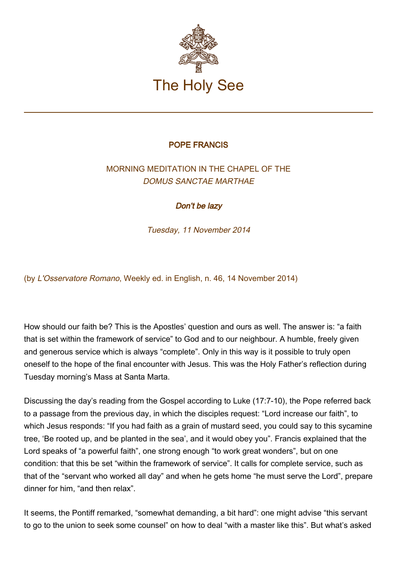

## POPE FRANCIS

## MORNING MEDITATION IN THE CHAPEL OF THE DOMUS SANCTAE MARTHAE

## Don't be lazy

Tuesday, 11 November 2014

(by L'Osservatore Romano, Weekly ed. in English, n. 46, 14 November 2014)

How should our faith be? This is the Apostles' question and ours as well. The answer is: "a faith that is set within the framework of service" to God and to our neighbour. A humble, freely given and generous service which is always "complete". Only in this way is it possible to truly open oneself to the hope of the final encounter with Jesus. This was the Holy Father's reflection during Tuesday morning's Mass at Santa Marta.

Discussing the day's reading from the Gospel according to Luke (17:7-10), the Pope referred back to a passage from the previous day, in which the disciples request: "Lord increase our faith", to which Jesus responds: "If you had faith as a grain of mustard seed, you could say to this sycamine tree, 'Be rooted up, and be planted in the sea', and it would obey you". Francis explained that the Lord speaks of "a powerful faith", one strong enough "to work great wonders", but on one condition: that this be set "within the framework of service". It calls for complete service, such as that of the "servant who worked all day" and when he gets home "he must serve the Lord", prepare dinner for him, "and then relax".

It seems, the Pontiff remarked, "somewhat demanding, a bit hard": one might advise "this servant to go to the union to seek some counsel" on how to deal "with a master like this". But what's asked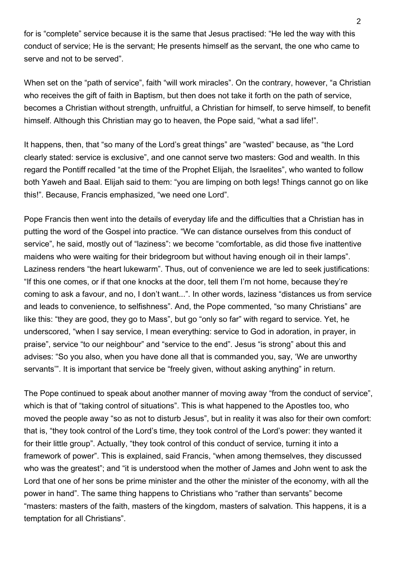for is "complete" service because it is the same that Jesus practised: "He led the way with this conduct of service; He is the servant; He presents himself as the servant, the one who came to serve and not to be served".

When set on the "path of service", faith "will work miracles". On the contrary, however, "a Christian who receives the gift of faith in Baptism, but then does not take it forth on the path of service, becomes a Christian without strength, unfruitful, a Christian for himself, to serve himself, to benefit himself. Although this Christian may go to heaven, the Pope said, "what a sad life!".

It happens, then, that "so many of the Lord's great things" are "wasted" because, as "the Lord clearly stated: service is exclusive", and one cannot serve two masters: God and wealth. In this regard the Pontiff recalled "at the time of the Prophet Elijah, the Israelites", who wanted to follow both Yaweh and Baal. Elijah said to them: "you are limping on both legs! Things cannot go on like this!". Because, Francis emphasized, "we need one Lord".

Pope Francis then went into the details of everyday life and the difficulties that a Christian has in putting the word of the Gospel into practice. "We can distance ourselves from this conduct of service", he said, mostly out of "laziness": we become "comfortable, as did those five inattentive maidens who were waiting for their bridegroom but without having enough oil in their lamps". Laziness renders "the heart lukewarm". Thus, out of convenience we are led to seek justifications: "If this one comes, or if that one knocks at the door, tell them I'm not home, because they're coming to ask a favour, and no, I don't want...". In other words, laziness "distances us from service and leads to convenience, to selfishness". And, the Pope commented, "so many Christians" are like this: "they are good, they go to Mass", but go "only so far" with regard to service. Yet, he underscored, "when I say service, I mean everything: service to God in adoration, in prayer, in praise", service "to our neighbour" and "service to the end". Jesus "is strong" about this and advises: "So you also, when you have done all that is commanded you, say, 'We are unworthy servants'". It is important that service be "freely given, without asking anything" in return.

The Pope continued to speak about another manner of moving away "from the conduct of service", which is that of "taking control of situations". This is what happened to the Apostles too, who moved the people away "so as not to disturb Jesus", but in reality it was also for their own comfort: that is, "they took control of the Lord's time, they took control of the Lord's power: they wanted it for their little group". Actually, "they took control of this conduct of service, turning it into a framework of power". This is explained, said Francis, "when among themselves, they discussed who was the greatest"; and "it is understood when the mother of James and John went to ask the Lord that one of her sons be prime minister and the other the minister of the economy, with all the power in hand". The same thing happens to Christians who "rather than servants" become "masters: masters of the faith, masters of the kingdom, masters of salvation. This happens, it is a temptation for all Christians".